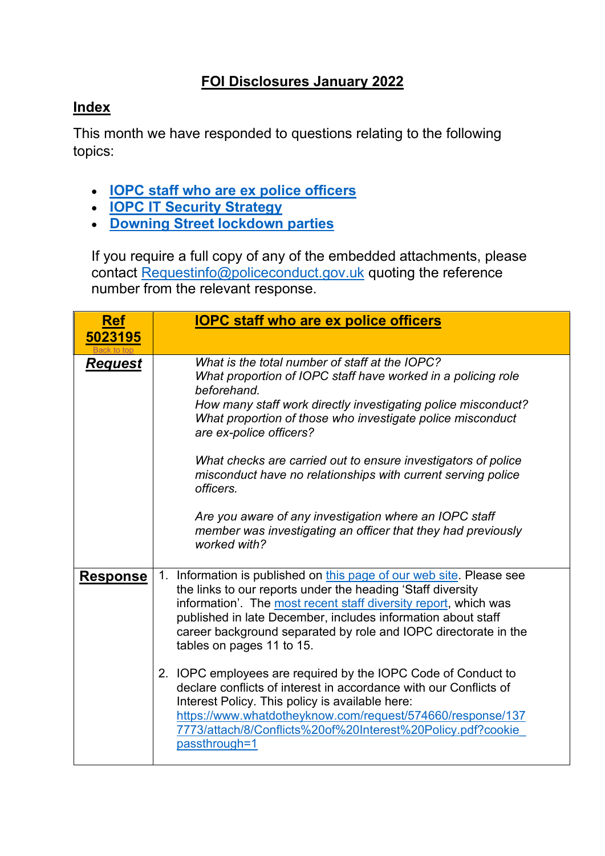## **FOI Disclosures January 2022**

## <span id="page-0-1"></span>**Index**

This month we have responded to questions relating to the following topics:

- **[IOPC staff who are ex police officers](#page-0-0)**
- **[IOPC IT Security Strategy](#page-2-0)**
- **[Downing Street lockdown parties](#page-3-0)**

If you require a full copy of any of the embedded attachments, please contact [Requestinfo@policeconduct.gov.uk](mailto:Requestinfo@policeconduct.gov.uk) quoting the reference number from the relevant response.

<span id="page-0-0"></span>

| <b>Ref</b><br>5023195 | <b>IOPC staff who are ex police officers</b>                                                                                                                                                                                                                                                                                                                           |
|-----------------------|------------------------------------------------------------------------------------------------------------------------------------------------------------------------------------------------------------------------------------------------------------------------------------------------------------------------------------------------------------------------|
| <u>Request</u>        | What is the total number of staff at the IOPC?<br>What proportion of IOPC staff have worked in a policing role<br>beforehand.<br>How many staff work directly investigating police misconduct?<br>What proportion of those who investigate police misconduct<br>are ex-police officers?                                                                                |
|                       | What checks are carried out to ensure investigators of police<br>misconduct have no relationships with current serving police<br>officers.<br>Are you aware of any investigation where an IOPC staff<br>member was investigating an officer that they had previously<br>worked with?                                                                                   |
| <b>Response</b>       | 1. Information is published on this page of our web site. Please see<br>the links to our reports under the heading 'Staff diversity<br>information'. The most recent staff diversity report, which was<br>published in late December, includes information about staff<br>career background separated by role and IOPC directorate in the<br>tables on pages 11 to 15. |
|                       | 2. IOPC employees are required by the IOPC Code of Conduct to<br>declare conflicts of interest in accordance with our Conflicts of<br>Interest Policy. This policy is available here:<br>https://www.whatdotheyknow.com/request/574660/response/137<br>7773/attach/8/Conflicts%20of%20Interest%20Policy.pdf?cookie<br>passthrough=1                                    |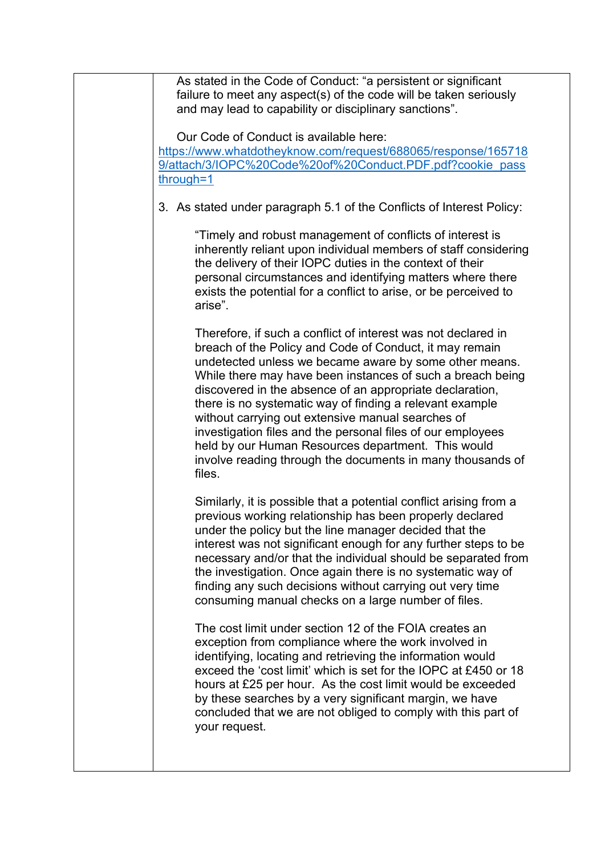| As stated in the Code of Conduct: "a persistent or significant<br>failure to meet any aspect(s) of the code will be taken seriously<br>and may lead to capability or disciplinary sanctions".                                                                                                                                                                                                                                                                                                                                                                                                                              |
|----------------------------------------------------------------------------------------------------------------------------------------------------------------------------------------------------------------------------------------------------------------------------------------------------------------------------------------------------------------------------------------------------------------------------------------------------------------------------------------------------------------------------------------------------------------------------------------------------------------------------|
| Our Code of Conduct is available here:<br>https://www.whatdotheyknow.com/request/688065/response/165718<br>9/attach/3/IOPC%20Code%20of%20Conduct.PDF.pdf?cookie_pass<br>through=1                                                                                                                                                                                                                                                                                                                                                                                                                                          |
| 3. As stated under paragraph 5.1 of the Conflicts of Interest Policy:                                                                                                                                                                                                                                                                                                                                                                                                                                                                                                                                                      |
| "Timely and robust management of conflicts of interest is<br>inherently reliant upon individual members of staff considering<br>the delivery of their IOPC duties in the context of their<br>personal circumstances and identifying matters where there<br>exists the potential for a conflict to arise, or be perceived to<br>arise".                                                                                                                                                                                                                                                                                     |
| Therefore, if such a conflict of interest was not declared in<br>breach of the Policy and Code of Conduct, it may remain<br>undetected unless we became aware by some other means.<br>While there may have been instances of such a breach being<br>discovered in the absence of an appropriate declaration,<br>there is no systematic way of finding a relevant example<br>without carrying out extensive manual searches of<br>investigation files and the personal files of our employees<br>held by our Human Resources department. This would<br>involve reading through the documents in many thousands of<br>files. |
| Similarly, it is possible that a potential conflict arising from a<br>previous working relationship has been properly declared<br>under the policy but the line manager decided that the<br>interest was not significant enough for any further steps to be<br>necessary and/or that the individual should be separated from<br>the investigation. Once again there is no systematic way of<br>finding any such decisions without carrying out very time<br>consuming manual checks on a large number of files.                                                                                                            |
| The cost limit under section 12 of the FOIA creates an<br>exception from compliance where the work involved in<br>identifying, locating and retrieving the information would<br>exceed the 'cost limit' which is set for the IOPC at £450 or 18<br>hours at £25 per hour. As the cost limit would be exceeded<br>by these searches by a very significant margin, we have<br>concluded that we are not obliged to comply with this part of<br>your request.                                                                                                                                                                 |
|                                                                                                                                                                                                                                                                                                                                                                                                                                                                                                                                                                                                                            |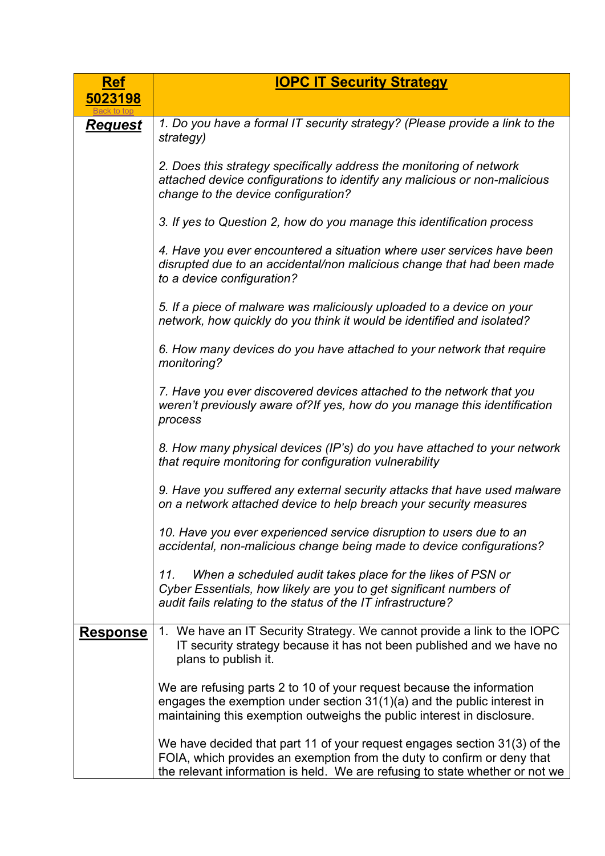<span id="page-2-0"></span>

| <b>Ref</b>      | <b>IOPC IT Security Strategy</b>                                                                                                                                                                                                     |
|-----------------|--------------------------------------------------------------------------------------------------------------------------------------------------------------------------------------------------------------------------------------|
| 5023198         |                                                                                                                                                                                                                                      |
| <u>Request</u>  | 1. Do you have a formal IT security strategy? (Please provide a link to the<br>strategy)                                                                                                                                             |
|                 | 2. Does this strategy specifically address the monitoring of network<br>attached device configurations to identify any malicious or non-malicious<br>change to the device configuration?                                             |
|                 | 3. If yes to Question 2, how do you manage this identification process                                                                                                                                                               |
|                 | 4. Have you ever encountered a situation where user services have been<br>disrupted due to an accidental/non malicious change that had been made<br>to a device configuration?                                                       |
|                 | 5. If a piece of malware was maliciously uploaded to a device on your<br>network, how quickly do you think it would be identified and isolated?                                                                                      |
|                 | 6. How many devices do you have attached to your network that require<br>monitoring?                                                                                                                                                 |
|                 | 7. Have you ever discovered devices attached to the network that you<br>weren't previously aware of?If yes, how do you manage this identification<br>process                                                                         |
|                 | 8. How many physical devices (IP's) do you have attached to your network<br>that require monitoring for configuration vulnerability                                                                                                  |
|                 | 9. Have you suffered any external security attacks that have used malware<br>on a network attached device to help breach your security measures                                                                                      |
|                 | 10. Have you ever experienced service disruption to users due to an<br>accidental, non-malicious change being made to device configurations?                                                                                         |
|                 | When a scheduled audit takes place for the likes of PSN or<br>11.<br>Cyber Essentials, how likely are you to get significant numbers of<br>audit fails relating to the status of the IT infrastructure?                              |
| <b>Response</b> | 1. We have an IT Security Strategy. We cannot provide a link to the IOPC<br>IT security strategy because it has not been published and we have no<br>plans to publish it.                                                            |
|                 | We are refusing parts 2 to 10 of your request because the information<br>engages the exemption under section $31(1)(a)$ and the public interest in<br>maintaining this exemption outweighs the public interest in disclosure.        |
|                 | We have decided that part 11 of your request engages section 31(3) of the<br>FOIA, which provides an exemption from the duty to confirm or deny that<br>the relevant information is held. We are refusing to state whether or not we |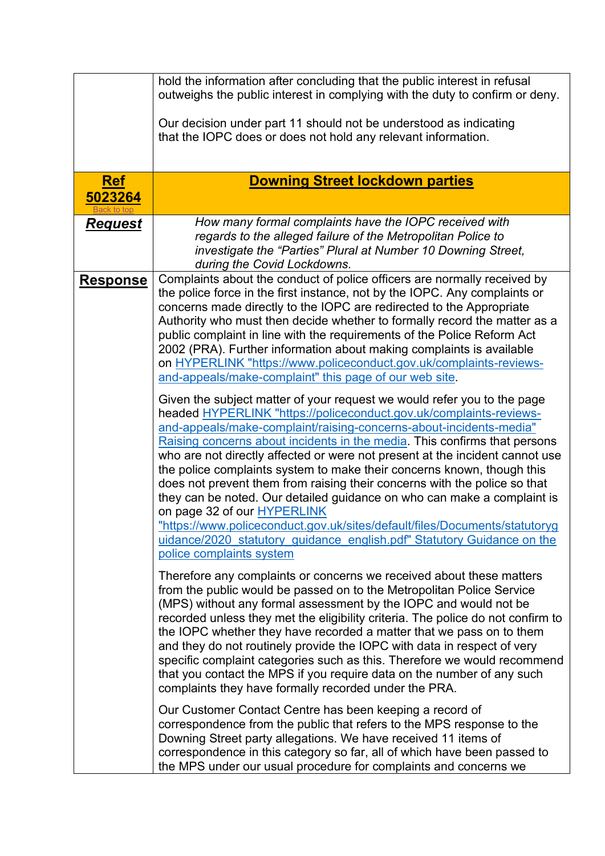<span id="page-3-0"></span>

|                              | hold the information after concluding that the public interest in refusal<br>outweighs the public interest in complying with the duty to confirm or deny.                                                                                                                                                                                                                                                                                                                                                                                                                                                                                                                                                                                                                                                                                    |
|------------------------------|----------------------------------------------------------------------------------------------------------------------------------------------------------------------------------------------------------------------------------------------------------------------------------------------------------------------------------------------------------------------------------------------------------------------------------------------------------------------------------------------------------------------------------------------------------------------------------------------------------------------------------------------------------------------------------------------------------------------------------------------------------------------------------------------------------------------------------------------|
|                              | Our decision under part 11 should not be understood as indicating<br>that the IOPC does or does not hold any relevant information.                                                                                                                                                                                                                                                                                                                                                                                                                                                                                                                                                                                                                                                                                                           |
|                              |                                                                                                                                                                                                                                                                                                                                                                                                                                                                                                                                                                                                                                                                                                                                                                                                                                              |
| <b>Ref</b><br><u>5023264</u> | <b>Downing Street lockdown parties</b>                                                                                                                                                                                                                                                                                                                                                                                                                                                                                                                                                                                                                                                                                                                                                                                                       |
| <u>Request</u>               | How many formal complaints have the IOPC received with<br>regards to the alleged failure of the Metropolitan Police to<br>investigate the "Parties" Plural at Number 10 Downing Street,<br>during the Covid Lockdowns.                                                                                                                                                                                                                                                                                                                                                                                                                                                                                                                                                                                                                       |
| <b>Response</b>              | Complaints about the conduct of police officers are normally received by<br>the police force in the first instance, not by the IOPC. Any complaints or<br>concerns made directly to the IOPC are redirected to the Appropriate<br>Authority who must then decide whether to formally record the matter as a<br>public complaint in line with the requirements of the Police Reform Act<br>2002 (PRA). Further information about making complaints is available<br>on HYPERLINK "https://www.policeconduct.gov.uk/complaints-reviews-<br>and-appeals/make-complaint" this page of our web site.                                                                                                                                                                                                                                               |
|                              | Given the subject matter of your request we would refer you to the page<br>headed HYPERLINK "https://policeconduct.gov.uk/complaints-reviews-<br>and-appeals/make-complaint/raising-concerns-about-incidents-media"<br>Raising concerns about incidents in the media. This confirms that persons<br>who are not directly affected or were not present at the incident cannot use<br>the police complaints system to make their concerns known, though this<br>does not prevent them from raising their concerns with the police so that<br>they can be noted. Our detailed guidance on who can make a complaint is<br>on page 32 of our <b>HYPERLINK</b><br>"https://www.policeconduct.gov.uk/sites/default/files/Documents/statutoryg<br>uidance/2020 statutory guidance english.pdf" Statutory Guidance on the<br>police complaints system |
|                              | Therefore any complaints or concerns we received about these matters<br>from the public would be passed on to the Metropolitan Police Service<br>(MPS) without any formal assessment by the IOPC and would not be<br>recorded unless they met the eligibility criteria. The police do not confirm to<br>the IOPC whether they have recorded a matter that we pass on to them<br>and they do not routinely provide the IOPC with data in respect of very<br>specific complaint categories such as this. Therefore we would recommend<br>that you contact the MPS if you require data on the number of any such<br>complaints they have formally recorded under the PRA.                                                                                                                                                                       |
|                              | Our Customer Contact Centre has been keeping a record of<br>correspondence from the public that refers to the MPS response to the<br>Downing Street party allegations. We have received 11 items of<br>correspondence in this category so far, all of which have been passed to<br>the MPS under our usual procedure for complaints and concerns we                                                                                                                                                                                                                                                                                                                                                                                                                                                                                          |